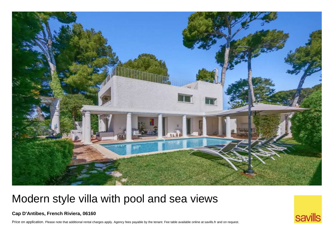

# Modern style villa with pool and sea views

# **Cap D'Antibes, French Riviera, 06160**

Price on application. Please note that additional rental charges apply. Agency fees payable by the tenant. Fee table available online at savills.fr and on request.

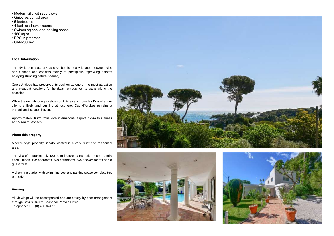- Modern villa with sea views
- Quiet residential area
- 5 bedrooms
- 4 bath or shower rooms
- Swimming pool and parking space
- 180 sq m
- EPC in progress
- $\cdot$  CAN200042

## **Local Information**

The idyllic peninsula of Cap d'Antibes is ideally located between Nice and Cannes and consists mainly of prestigious, sprawling estates enjoying stunning natural scenery.

Cap d'Antibes has preserved its position as one of the most attractive and pleasant locations for holidays, famous for its walks along the coastline.

While the neighbouring localities of Antibes and Juan les Pins offer our clients a lively and bustling atmosphere, Cap d'Antibes remains a tranquil and isolated haven.

Approximately 16km from Nice international airport, 12km to Cannes and 50km to Monaco.

#### **About this property**

Modern style property, ideally located in a very quiet and residential area.

The villa of approximately 180 sq m features a reception room, a fully fitted kitchen, five bedrooms, two bathrooms, two shower rooms and a guest toilet.

A charming garden with swimming pool and parking space complete this property.

### **Viewing**

All viewings will be accompanied and are strictly by prior arrangement through Savills Riviera Seasonal Rentals Office. Telephone: +33 (0) 493 874 115.





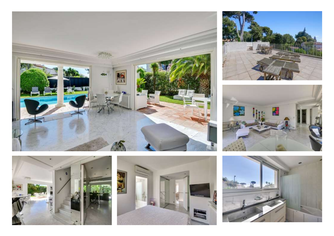